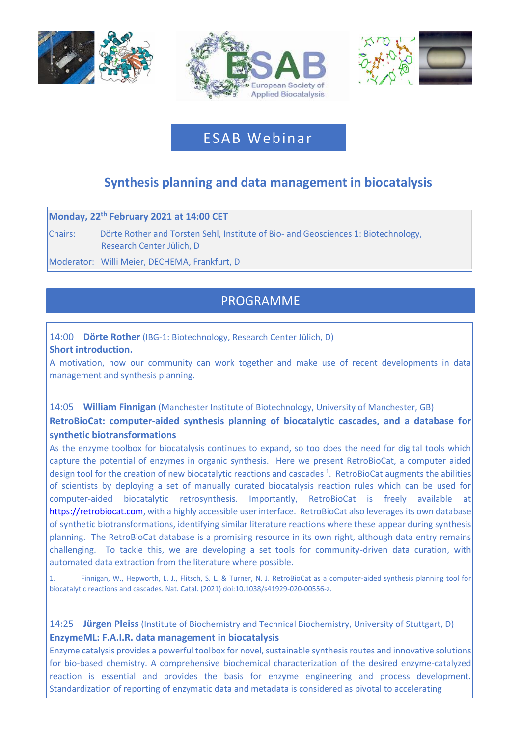





# ESAB Webinar

# **Synthesis planning and data management in biocatalysis**

#### **Monday, 22 th February 2021 at 14:00 CET**

Chairs: Dörte Rother and Torsten Sehl, Institute of Bio- and Geosciences 1: Biotechnology, Research Center Jülich, D

Moderator: Willi Meier, DECHEMA, Frankfurt, D

# PROGRAMME

## 14:00 **Dörte Rother** (IBG-1: Biotechnology, Research Center Jülich, D) **Short introduction.**

A motivation, how our community can work together and make use of recent developments in data management and synthesis planning.

## 14:05 **William Finnigan** (Manchester Institute of Biotechnology, University of Manchester, GB) **RetroBioCat: computer-aided synthesis planning of biocatalytic cascades, and a database for synthetic biotransformations**

As the enzyme toolbox for biocatalysis continues to expand, so too does the need for digital tools which capture the potential of enzymes in organic synthesis. Here we present RetroBioCat, a computer aided design tool for the creation of new biocatalytic reactions and cascades<sup>1</sup>. RetroBioCat augments the abilities of scientists by deploying a set of manually curated biocatalysis reaction rules which can be used for computer-aided biocatalytic retrosynthesis. Importantly, RetroBioCat is freely available at [https://retrobiocat.com,](https://retrobiocat.com/) with a highly accessible user interface. RetroBioCat also leverages its own database of synthetic biotransformations, identifying similar literature reactions where these appear during synthesis planning. The RetroBioCat database is a promising resource in its own right, although data entry remains challenging. To tackle this, we are developing a set tools for community-driven data curation, with automated data extraction from the literature where possible.

1. Finnigan, W., Hepworth, L. J., Flitsch, S. L. & Turner, N. J. RetroBioCat as a computer-aided synthesis planning tool for biocatalytic reactions and cascades. Nat. Catal. (2021) doi:10.1038/s41929-020-00556-z.

14:25 **Jürgen Pleiss** (Institute of Biochemistry and Technical Biochemistry, University of Stuttgart, D) **EnzymeML: F.A.I.R. data management in biocatalysis** 

Enzyme catalysis provides a powerful toolbox for novel, sustainable synthesis routes and innovative solutions for bio-based chemistry. A comprehensive biochemical characterization of the desired enzyme-catalyzed reaction is essential and provides the basis for enzyme engineering and process development. Standardization of reporting of enzymatic data and metadata is considered as pivotal to accelerating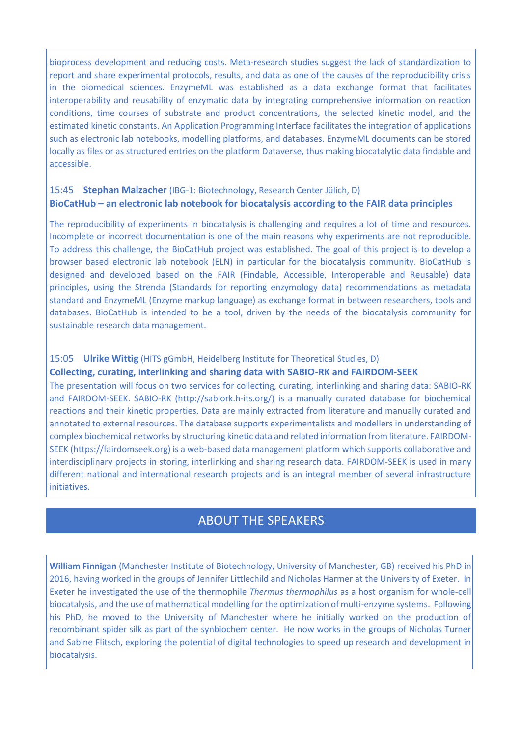bioprocess development and reducing costs. Meta-research studies suggest the lack of standardization to report and share experimental protocols, results, and data as one of the causes of the reproducibility crisis in the biomedical sciences. EnzymeML was established as a data exchange format that facilitates interoperability and reusability of enzymatic data by integrating comprehensive information on reaction conditions, time courses of substrate and product concentrations, the selected kinetic model, and the estimated kinetic constants. An Application Programming Interface facilitates the integration of applications such as electronic lab notebooks, modelling platforms, and databases. EnzymeML documents can be stored locally as files or as structured entries on the platform Dataverse, thus making biocatalytic data findable and accessible.

## 15:45 **Stephan Malzacher** (IBG-1: Biotechnology, Research Center Jülich, D) **BioCatHub – an electronic lab notebook for biocatalysis according to the FAIR data principles**

The reproducibility of experiments in biocatalysis is challenging and requires a lot of time and resources. Incomplete or incorrect documentation is one of the main reasons why experiments are not reproducible. To address this challenge, the BioCatHub project was established. The goal of this project is to develop a browser based electronic lab notebook (ELN) in particular for the biocatalysis community. BioCatHub is designed and developed based on the FAIR (Findable, Accessible, Interoperable and Reusable) data principles, using the Strenda (Standards for reporting enzymology data) recommendations as metadata standard and EnzymeML (Enzyme markup language) as exchange format in between researchers, tools and databases. BioCatHub is intended to be a tool, driven by the needs of the biocatalysis community for sustainable research data management.

### 15:05 **Ulrike Wittig** (HITS gGmbH, Heidelberg Institute for Theoretical Studies, D)

#### **Collecting, curating, interlinking and sharing data with SABIO-RK and FAIRDOM-SEEK**

The presentation will focus on two services for collecting, curating, interlinking and sharing data: SABIO-RK and FAIRDOM-SEEK. SABIO-RK (http://sabiork.h-its.org/) is a manually curated database for biochemical reactions and their kinetic properties. Data are mainly extracted from literature and manually curated and annotated to external resources. The database supports experimentalists and modellers in understanding of complex biochemical networks by structuring kinetic data and related information from literature. FAIRDOM-SEEK (https://fairdomseek.org) is a web-based data management platform which supports collaborative and interdisciplinary projects in storing, interlinking and sharing research data. FAIRDOM-SEEK is used in many different national and international research projects and is an integral member of several infrastructure initiatives.

# ABOUT THE SPEAKERS

**William Finnigan** (Manchester Institute of Biotechnology, University of Manchester, GB) received his PhD in 2016, having worked in the groups of Jennifer Littlechild and Nicholas Harmer at the University of Exeter. In Exeter he investigated the use of the thermophile *Thermus thermophilus* as a host organism for whole-cell biocatalysis, and the use of mathematical modelling for the optimization of multi-enzyme systems. Following his PhD, he moved to the University of Manchester where he initially worked on the production of recombinant spider silk as part of the synbiochem center. He now works in the groups of Nicholas Turner and Sabine Flitsch, exploring the potential of digital technologies to speed up research and development in biocatalysis.